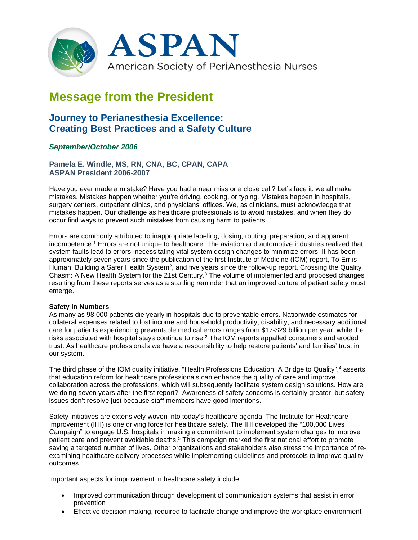

# **Message from the President**

# **Journey to Perianesthesia Excellence: Creating Best Practices and a Safety Culture**

# *September/October 2006*

**Pamela E. Windle, MS, RN, CNA, BC, CPAN, CAPA ASPAN President 2006-2007**

Have you ever made a mistake? Have you had a near miss or a close call? Let's face it, we all make mistakes. Mistakes happen whether you're driving, cooking, or typing. Mistakes happen in hospitals, surgery centers, outpatient clinics, and physicians' offices. We, as clinicians, must acknowledge that mistakes happen. Our challenge as healthcare professionals is to avoid mistakes, and when they do occur find ways to prevent such mistakes from causing harm to patients.

Errors are commonly attributed to inappropriate labeling, dosing, routing, preparation, and apparent incompetence. <sup>1</sup> Errors are not unique to healthcare. The aviation and automotive industries realized that system faults lead to errors, necessitating vital system design changes to minimize errors. It has been approximately seven years since the publication of the first Institute of Medicine (IOM) report, To Err is Human: Building a Safer Health System<sup>2</sup>, and five years since the follow-up report, Crossing the Quality Chasm: A New Health System for the 21st Century. $3$  The volume of implemented and proposed changes resulting from these reports serves as a startling reminder that an improved culture of patient safety must emerge.

#### **Safety in Numbers**

As many as 98,000 patients die yearly in hospitals due to preventable errors. Nationwide estimates for collateral expenses related to lost income and household productivity, disability, and necessary additional care for patients experiencing preventable medical errors ranges from \$17-\$29 billion per year, while the risks associated with hospital stays continue to rise. <sup>2</sup> The IOM reports appalled consumers and eroded trust. As healthcare professionals we have a responsibility to help restore patients' and families' trust in our system.

The third phase of the IOM quality initiative, "Health Professions Education: A Bridge to Quality", <sup>4</sup> asserts that education reform for healthcare professionals can enhance the quality of care and improve collaboration across the professions, which will subsequently facilitate system design solutions. How are we doing seven years after the first report? Awareness of safety concerns is certainly greater, but safety issues don't resolve just because staff members have good intentions.

Safety initiatives are extensively woven into today's healthcare agenda. The Institute for Healthcare Improvement (IHI) is one driving force for healthcare safety. The IHI developed the "100,000 Lives Campaign" to engage U.S. hospitals in making a commitment to implement system changes to improve patient care and prevent avoidable deaths. <sup>5</sup> This campaign marked the first national effort to promote saving a targeted number of lives. Other organizations and stakeholders also stress the importance of reexamining healthcare delivery processes while implementing guidelines and protocols to improve quality outcomes.

Important aspects for improvement in healthcare safety include:

- Improved communication through development of communication systems that assist in error prevention
- Effective decision-making, required to facilitate change and improve the workplace environment